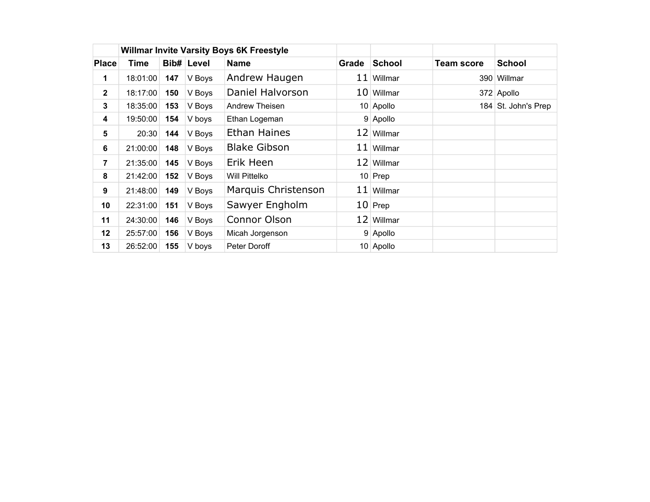|                |          |                           |        | <b>Willmar Invite Varsity Boys 6K Freestyle</b> |                        |              |                   |                     |  |
|----------------|----------|---------------------------|--------|-------------------------------------------------|------------------------|--------------|-------------------|---------------------|--|
| <b>Place</b>   | Time     | Bib# Level<br><b>Name</b> |        |                                                 | <b>School</b><br>Grade |              | <b>Team score</b> | <b>School</b>       |  |
| 1              | 18:01:00 | 147                       | V Boys | Andrew Haugen                                   |                        | $11$ Willmar |                   | 390 Willmar         |  |
| $\mathbf{2}$   | 18:17:00 | 150                       | V Boys | Daniel Halvorson                                |                        | $10$ Willmar |                   | 372 Apollo          |  |
| 3              | 18:35:00 | 153                       | V Boys | Andrew Theisen                                  |                        | 10 Apollo    |                   | 184 St. John's Prep |  |
| 4              | 19:50:00 | 154                       | V boys | Ethan Logeman                                   |                        | 9 Apollo     |                   |                     |  |
| $5\phantom{1}$ | 20:30    | 144                       | V Boys | <b>Ethan Haines</b>                             |                        | 12 Willmar   |                   |                     |  |
| 6              | 21:00:00 | 148                       | V Boys | <b>Blake Gibson</b>                             |                        | $11$ Willmar |                   |                     |  |
| $\overline{7}$ | 21:35:00 | 145                       | V Boys | Erik Heen                                       |                        | 12 Willmar   |                   |                     |  |
| 8              | 21:42:00 | 152                       | V Boys | <b>Will Pittelko</b>                            |                        | $10$ Prep    |                   |                     |  |
| 9              | 21:48:00 | 149                       | V Boys | Marquis Christenson                             |                        | $11$ Willmar |                   |                     |  |
| 10             | 22:31:00 | 151                       | V Boys | Sawyer Engholm                                  |                        | $10$ Prep    |                   |                     |  |
| 11             | 24:30:00 | 146                       | V Boys | Connor Olson                                    |                        | 12 Willmar   |                   |                     |  |
| $12 \,$        | 25:57:00 | 156                       | V Boys | Micah Jorgenson                                 |                        | 9 Apollo     |                   |                     |  |
| 13             | 26:52:00 | 155                       | V boys | Peter Doroff                                    |                        | 10 Apollo    |                   |                     |  |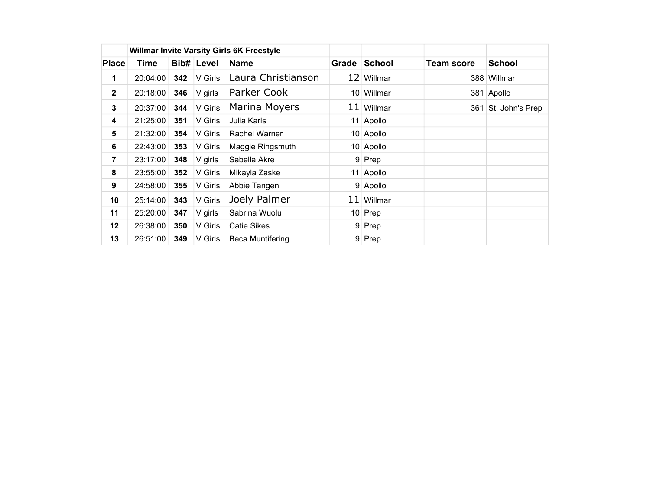|                  |                           |     |         | <b>Willmar Invite Varsity Girls 6K Freestyle</b> |       |               |                   |                 |
|------------------|---------------------------|-----|---------|--------------------------------------------------|-------|---------------|-------------------|-----------------|
| <b>Place</b>     | <b>Bib# Level</b><br>Time |     |         | <b>Name</b>                                      | Grade | <b>School</b> | <b>Team score</b> | <b>School</b>   |
| 1                | 20:04:00                  | 342 | V Girls | Laura Christianson                               |       | 12 Willmar    |                   | 388 Willmar     |
| $\mathbf{2}$     | 20:18:00                  | 346 | V girls | Parker Cook                                      |       | 10 Willmar    |                   | 381 Apollo      |
| 3                | 20:37:00                  | 344 | V Girls | Marina Moyers                                    |       | $11$ Willmar  | 361               | St. John's Prep |
| 4                | 21:25:00                  | 351 | V Girls | Julia Karls                                      |       | 11 Apollo     |                   |                 |
| 5                | 21:32:00                  | 354 | V Girls | Rachel Warner                                    |       | 10 Apollo     |                   |                 |
| 6                | 22:43:00                  | 353 | V Girls | Maggie Ringsmuth                                 |       | 10 Apollo     |                   |                 |
| $\overline{7}$   | 23:17:00                  | 348 | V girls | Sabella Akre                                     |       | 9 Prep        |                   |                 |
| 8                | 23:55:00                  | 352 | V Girls | Mikayla Zaske                                    |       | 11 Apollo     |                   |                 |
| $\boldsymbol{9}$ | 24:58:00                  | 355 | V Girls | Abbie Tangen                                     |       | 9 Apollo      |                   |                 |
| 10               | 25:14:00                  | 343 | V Girls | Joely Palmer                                     |       | $11$ Willmar  |                   |                 |
| 11               | 25:20:00                  | 347 | V girls | Sabrina Wuolu                                    |       | $10$ Prep     |                   |                 |
| 12               | 26:38:00                  | 350 | V Girls | <b>Catie Sikes</b>                               |       | 9 Prep        |                   |                 |
| 13               | 26:51:00                  | 349 | V Girls | <b>Beca Muntifering</b>                          |       | 9 Prep        |                   |                 |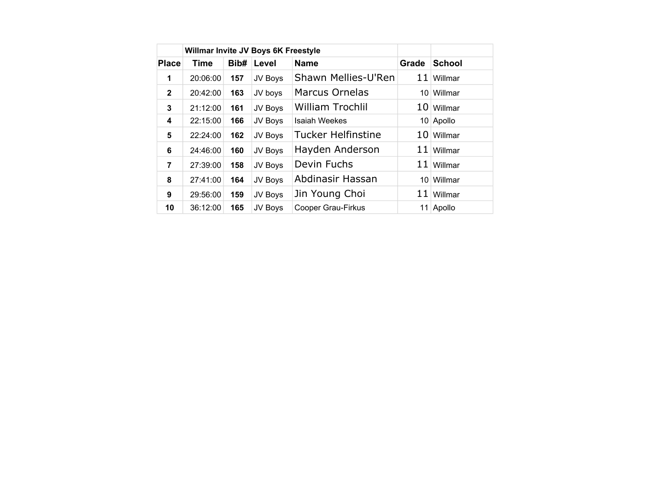|                | Willmar Invite JV Boys 6K Freestyle |      |         |                           |       |               |
|----------------|-------------------------------------|------|---------|---------------------------|-------|---------------|
| <b>Place</b>   | Time                                | Bib# | Level   | <b>Name</b>               | Grade | <b>School</b> |
| 1              | 20:06:00                            | 157  | JV Boys | Shawn Mellies-U'Ren       | 11    | Willmar       |
| $\mathbf{2}$   | 20:42:00                            | 163  | JV boys | <b>Marcus Ornelas</b>     |       | 10 Willmar    |
| 3              | 21:12:00                            | 161  | JV Boys | <b>William Trochlil</b>   |       | 10 Willmar    |
| 4              | 22:15:00                            | 166  | JV Boys | <b>Isaiah Weekes</b>      |       | 10 Apollo     |
| 5              | 22:24:00                            | 162  | JV Boys | <b>Tucker Helfinstine</b> | 10    | Willmar       |
| 6              | 24:46:00                            | 160  | JV Boys | Hayden Anderson           | 11    | Willmar       |
| $\overline{7}$ | 27:39:00                            | 158  | JV Boys | Devin Fuchs               | 11    | Willmar       |
| 8              | 27:41:00                            | 164  | JV Boys | Abdinasir Hassan          |       | 10 Willmar    |
| 9              | 29:56:00                            | 159  | JV Boys | Jin Young Choi            | 11    | Willmar       |
| 10             | 36:12:00                            | 165  | JV Boys | <b>Cooper Grau-Firkus</b> |       | 11 Apollo     |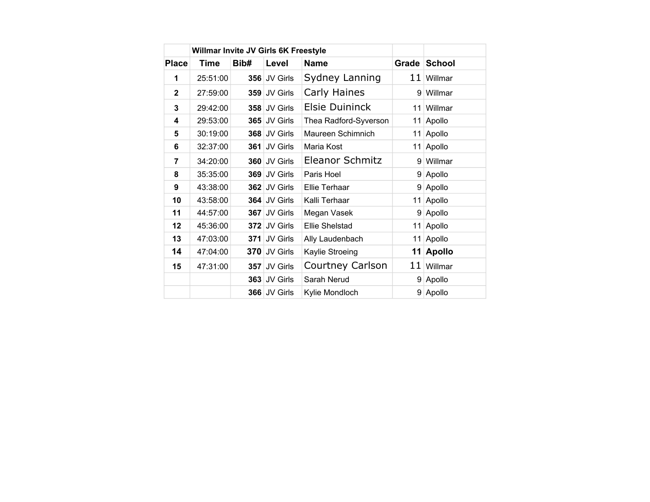|              | Willmar Invite JV Girls 6K Freestyle |      |              |                         |       |               |
|--------------|--------------------------------------|------|--------------|-------------------------|-------|---------------|
| <b>Place</b> | <b>Time</b>                          | Bib# | Level        | <b>Name</b>             | Grade | <b>School</b> |
| 1            | 25:51:00                             |      | 356 JV Girls | Sydney Lanning          |       | $11$ Willmar  |
| $\mathbf{2}$ | 27:59:00                             |      | 359 JV Girls | Carly Haines            |       | 9 Willmar     |
| 3            | 29:42:00                             |      | 358 JV Girls | <b>Elsie Duininck</b>   | 11    | Willmar       |
| 4            | 29:53:00                             |      | 365 JV Girls | Thea Radford-Syverson   | 11    | Apollo        |
| 5            | 30:19:00                             |      | 368 JV Girls | Maureen Schimnich       | 11    | Apollo        |
| 6            | 32:37:00                             | 361  | JV Girls     | Maria Kost              |       | 11 Apollo     |
| 7            | 34:20:00                             |      | 360 JV Girls | Eleanor Schmitz         |       | 9 Willmar     |
| 8            | 35:35:00                             |      | 369 JV Girls | Paris Hoel              |       | 9 Apollo      |
| 9            | 43:38:00                             |      | 362 JV Girls | Ellie Terhaar           |       | 9 Apollo      |
| 10           | 43:58:00                             |      | 364 JV Girls | Kalli Terhaar           |       | 11 Apollo     |
| 11           | 44:57:00                             | 367  | JV Girls     | Megan Vasek             | 9     | Apollo        |
| 12           | 45:36:00                             |      | 372 JV Girls | <b>Ellie Shelstad</b>   | 11    | Apollo        |
| 13           | 47:03:00                             |      | 371 JV Girls | Ally Laudenbach         |       | 11 Apollo     |
| 14           | 47:04:00                             |      | 370 JV Girls | Kaylie Stroeing         | 11    | <b>Apollo</b> |
| 15           | 47:31:00                             |      | 357 JV Girls | <b>Courtney Carlson</b> | 11    | Willmar       |
|              |                                      |      | 363 JV Girls | Sarah Nerud             | 9     | Apollo        |
|              |                                      |      | 366 JV Girls | Kylie Mondloch          | 9     | Apollo        |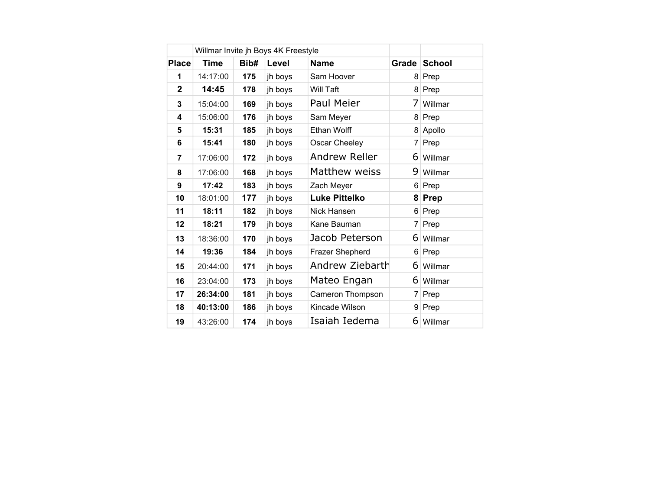|                         | Willmar Invite jh Boys 4K Freestyle |      |         |                      |                |               |
|-------------------------|-------------------------------------|------|---------|----------------------|----------------|---------------|
| <b>Place</b>            | <b>Time</b>                         | Bib# | Level   | <b>Name</b>          | Grade          | <b>School</b> |
| 1                       | 14:17:00                            | 175  | jh boys | Sam Hoover           | 8              | Prep          |
| $\overline{2}$          | 14:45                               | 178  | jh boys | <b>Will Taft</b>     | 8              | Prep          |
| 3                       | 15:04:00                            | 169  | jh boys | Paul Meier           | 7              | Willmar       |
| $\overline{\mathbf{4}}$ | 15:06:00                            | 176  | jh boys | Sam Meyer            | 8 <sup>1</sup> | Prep          |
| 5                       | 15:31                               | 185  | jh boys | <b>Ethan Wolff</b>   | 8              | Apollo        |
| 6                       | 15:41                               | 180  | jh boys | Oscar Cheeley        | 7              | Prep          |
| $\overline{7}$          | 17:06:00                            | 172  | jh boys | Andrew Reller        | 6              | Willmar       |
| 8                       | 17:06:00                            | 168  | jh boys | Matthew weiss        | 9              | Willmar       |
| 9                       | 17:42                               | 183  | jh boys | Zach Meyer           | 6              | Prep          |
| 10                      | 18:01:00                            | 177  | jh boys | <b>Luke Pittelko</b> | 8              | <b>Prep</b>   |
| 11                      | 18:11                               | 182  | jh boys | Nick Hansen          | 6              | Prep          |
| 12                      | 18:21                               | 179  | jh boys | Kane Bauman          | $\overline{7}$ | Prep          |
| 13                      | 18:36:00                            | 170  | jh boys | Jacob Peterson       | 6              | Willmar       |
| 14                      | 19:36                               | 184  | jh boys | Frazer Shepherd      | 6              | Prep          |
| 15                      | 20:44:00                            | 171  | jh boys | Andrew Ziebarth      | 6              | Willmar       |
| 16                      | 23:04:00                            | 173  | jh boys | Mateo Engan          |                | 6 Willmar     |
| 17                      | 26:34:00                            | 181  | jh boys | Cameron Thompson     | $\overline{7}$ | Prep          |
| 18                      | 40:13:00                            | 186  | jh boys | Kincade Wilson       |                | 9 Prep        |
| 19                      | 43:26:00                            | 174  | jh boys | Isaiah Iedema        | 6              | Willmar       |